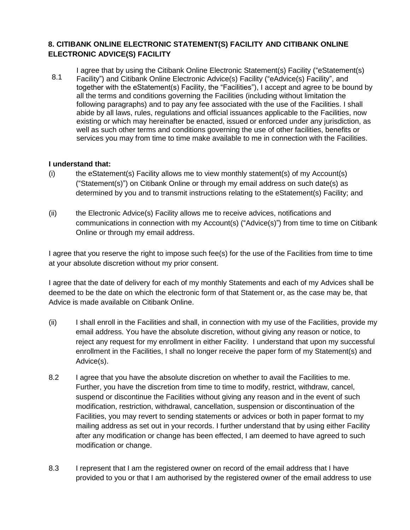## **8. CITIBANK ONLINE ELECTRONIC STATEMENT(S) FACILITY AND CITIBANK ONLINE ELECTRONIC ADVICE(S) FACILITY**

8.1 I agree that by using the Citibank Online Electronic Statement(s) Facility ("eStatement(s) Facility") and Citibank Online Electronic Advice(s) Facility ("eAdvice(s) Facility", and together with the eStatement(s) Facility, the "Facilities"), I accept and agree to be bound by all the terms and conditions governing the Facilities (including without limitation the following paragraphs) and to pay any fee associated with the use of the Facilities. I shall abide by all laws, rules, regulations and official issuances applicable to the Facilities, now existing or which may hereinafter be enacted, issued or enforced under any jurisdiction, as well as such other terms and conditions governing the use of other facilities, benefits or services you may from time to time make available to me in connection with the Facilities.

## **I understand that:**

- $(i)$  the eStatement(s) Facility allows me to view monthly statement(s) of my Account(s) ("Statement(s)") on Citibank Online or through my email address on such date(s) as determined by you and to transmit instructions relating to the eStatement(s) Facility; and
- (ii) the Electronic Advice(s) Facility allows me to receive advices, notifications and communications in connection with my Account(s) ("Advice(s)") from time to time on Citibank Online or through my email address.

I agree that you reserve the right to impose such fee(s) for the use of the Facilities from time to time at your absolute discretion without my prior consent.

I agree that the date of delivery for each of my monthly Statements and each of my Advices shall be deemed to be the date on which the electronic form of that Statement or, as the case may be, that Advice is made available on Citibank Online.

- (ii) I shall enroll in the Facilities and shall, in connection with my use of the Facilities, provide my email address. You have the absolute discretion, without giving any reason or notice, to reject any request for my enrollment in either Facility. I understand that upon my successful enrollment in the Facilities, I shall no longer receive the paper form of my Statement(s) and Advice(s).
- 8.2 I agree that you have the absolute discretion on whether to avail the Facilities to me. Further, you have the discretion from time to time to modify, restrict, withdraw, cancel, suspend or discontinue the Facilities without giving any reason and in the event of such modification, restriction, withdrawal, cancellation, suspension or discontinuation of the Facilities, you may revert to sending statements or advices or both in paper format to my mailing address as set out in your records. I further understand that by using either Facility after any modification or change has been effected, I am deemed to have agreed to such modification or change.
- 8.3 I represent that I am the registered owner on record of the email address that I have provided to you or that I am authorised by the registered owner of the email address to use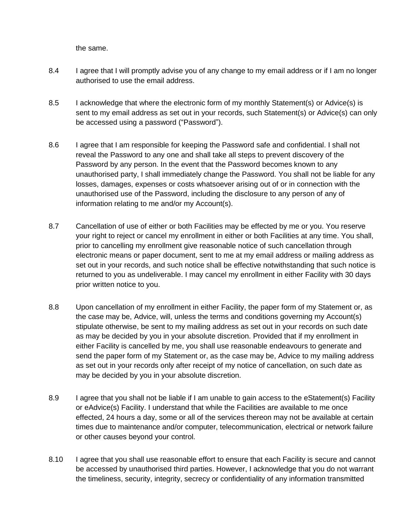the same.

- 8.4 I agree that I will promptly advise you of any change to my email address or if I am no longer authorised to use the email address.
- 8.5 I acknowledge that where the electronic form of my monthly Statement(s) or Advice(s) is sent to my email address as set out in your records, such Statement(s) or Advice(s) can only be accessed using a password ("Password").
- 8.6 I agree that I am responsible for keeping the Password safe and confidential. I shall not reveal the Password to any one and shall take all steps to prevent discovery of the Password by any person. In the event that the Password becomes known to any unauthorised party, I shall immediately change the Password. You shall not be liable for any losses, damages, expenses or costs whatsoever arising out of or in connection with the unauthorised use of the Password, including the disclosure to any person of any of information relating to me and/or my Account(s).
- 8.7 Cancellation of use of either or both Facilities may be effected by me or you. You reserve your right to reject or cancel my enrollment in either or both Facilities at any time. You shall, prior to cancelling my enrollment give reasonable notice of such cancellation through electronic means or paper document, sent to me at my email address or mailing address as set out in your records, and such notice shall be effective notwithstanding that such notice is returned to you as undeliverable. I may cancel my enrollment in either Facility with 30 days prior written notice to you.
- 8.8 Upon cancellation of my enrollment in either Facility, the paper form of my Statement or, as the case may be, Advice, will, unless the terms and conditions governing my Account(s) stipulate otherwise, be sent to my mailing address as set out in your records on such date as may be decided by you in your absolute discretion. Provided that if my enrollment in either Facility is cancelled by me, you shall use reasonable endeavours to generate and send the paper form of my Statement or, as the case may be, Advice to my mailing address as set out in your records only after receipt of my notice of cancellation, on such date as may be decided by you in your absolute discretion.
- 8.9 I agree that you shall not be liable if I am unable to gain access to the eStatement(s) Facility or eAdvice(s) Facility. I understand that while the Facilities are available to me once effected, 24 hours a day, some or all of the services thereon may not be available at certain times due to maintenance and/or computer, telecommunication, electrical or network failure or other causes beyond your control.
- 8.10 I agree that you shall use reasonable effort to ensure that each Facility is secure and cannot be accessed by unauthorised third parties. However, I acknowledge that you do not warrant the timeliness, security, integrity, secrecy or confidentiality of any information transmitted